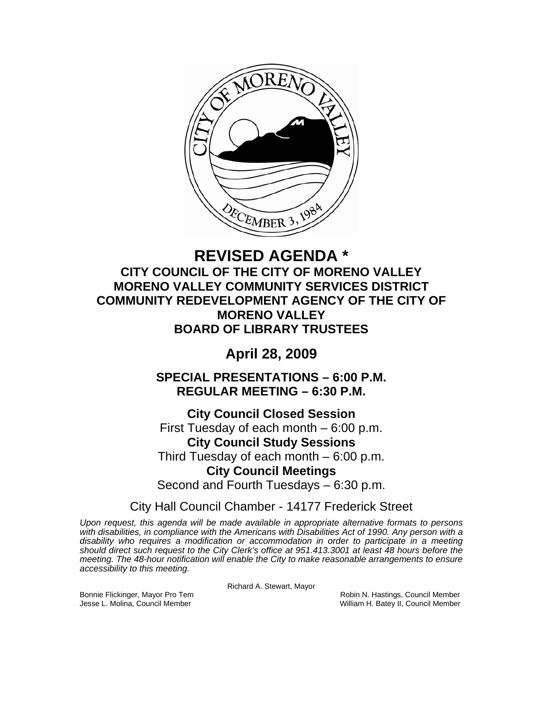

# **REVISED AGENDA \* CITY COUNCIL OF THE CITY OF MORENO VALLEY MORENO VALLEY COMMUNITY SERVICES DISTRICT COMMUNITY REDEVELOPMENT AGENCY OF THE CITY OF MORENO VALLEY BOARD OF LIBRARY TRUSTEES**

# **April 28, 2009**

**SPECIAL PRESENTATIONS – 6:00 P.M. REGULAR MEETING – 6:30 P.M.** 

**City Council Closed Session**  First Tuesday of each month – 6:00 p.m. **City Council Study Sessions**  Third Tuesday of each month – 6:00 p.m. **City Council Meetings**  Second and Fourth Tuesdays – 6:30 p.m.

City Hall Council Chamber - 14177 Frederick Street

*Upon request, this agenda will be made available in appropriate alternative formats to persons with disabilities, in compliance with the Americans with Disabilities Act of 1990. Any person with a disability who requires a modification or accommodation in order to participate in a meeting should direct such request to the City Clerk's office at 951.413.3001 at least 48 hours before the meeting. The 48-hour notification will enable the City to make reasonable arrangements to ensure accessibility to this meeting.* 

Richard A. Stewart, Mayor

Bonnie Flickinger, Mayor Pro Tem **Robin Accompanyies Council Member** Robin N. Hastings, Council Member Jesse L. Molina, Council Member William H. Batey II, Council Member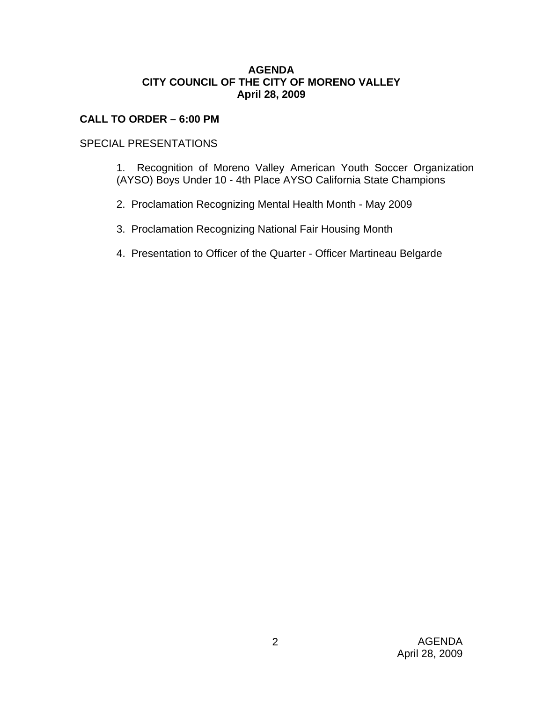### **AGENDA CITY COUNCIL OF THE CITY OF MORENO VALLEY April 28, 2009**

## **CALL TO ORDER – 6:00 PM**

## SPECIAL PRESENTATIONS

- 1. Recognition of Moreno Valley American Youth Soccer Organization (AYSO) Boys Under 10 - 4th Place AYSO California State Champions
- 2. Proclamation Recognizing Mental Health Month May 2009
- 3. Proclamation Recognizing National Fair Housing Month
- 4. Presentation to Officer of the Quarter Officer Martineau Belgarde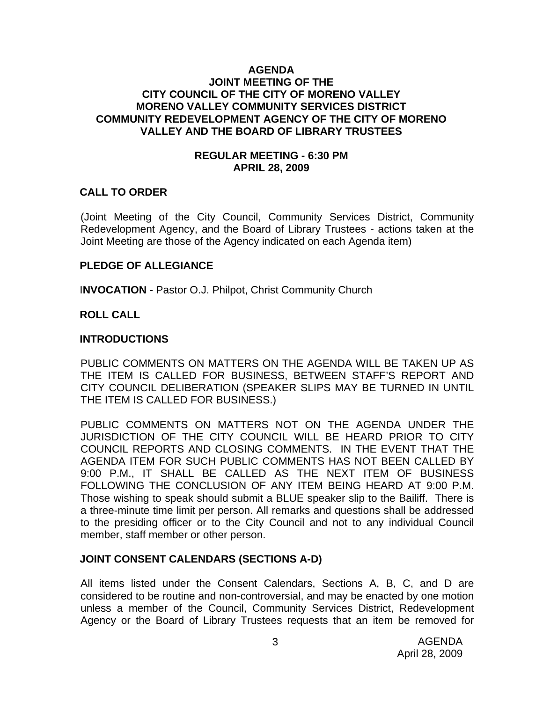#### **AGENDA JOINT MEETING OF THE CITY COUNCIL OF THE CITY OF MORENO VALLEY MORENO VALLEY COMMUNITY SERVICES DISTRICT COMMUNITY REDEVELOPMENT AGENCY OF THE CITY OF MORENO VALLEY AND THE BOARD OF LIBRARY TRUSTEES**

#### **REGULAR MEETING - 6:30 PM APRIL 28, 2009**

#### **CALL TO ORDER**

(Joint Meeting of the City Council, Community Services District, Community Redevelopment Agency, and the Board of Library Trustees - actions taken at the Joint Meeting are those of the Agency indicated on each Agenda item)

#### **PLEDGE OF ALLEGIANCE**

I**NVOCATION** - Pastor O.J. Philpot, Christ Community Church

### **ROLL CALL**

#### **INTRODUCTIONS**

PUBLIC COMMENTS ON MATTERS ON THE AGENDA WILL BE TAKEN UP AS THE ITEM IS CALLED FOR BUSINESS, BETWEEN STAFF'S REPORT AND CITY COUNCIL DELIBERATION (SPEAKER SLIPS MAY BE TURNED IN UNTIL THE ITEM IS CALLED FOR BUSINESS.)

PUBLIC COMMENTS ON MATTERS NOT ON THE AGENDA UNDER THE JURISDICTION OF THE CITY COUNCIL WILL BE HEARD PRIOR TO CITY COUNCIL REPORTS AND CLOSING COMMENTS. IN THE EVENT THAT THE AGENDA ITEM FOR SUCH PUBLIC COMMENTS HAS NOT BEEN CALLED BY 9:00 P.M., IT SHALL BE CALLED AS THE NEXT ITEM OF BUSINESS FOLLOWING THE CONCLUSION OF ANY ITEM BEING HEARD AT 9:00 P.M. Those wishing to speak should submit a BLUE speaker slip to the Bailiff. There is a three-minute time limit per person. All remarks and questions shall be addressed to the presiding officer or to the City Council and not to any individual Council member, staff member or other person.

### **JOINT CONSENT CALENDARS (SECTIONS A-D)**

All items listed under the Consent Calendars, Sections A, B, C, and D are considered to be routine and non-controversial, and may be enacted by one motion unless a member of the Council, Community Services District, Redevelopment Agency or the Board of Library Trustees requests that an item be removed for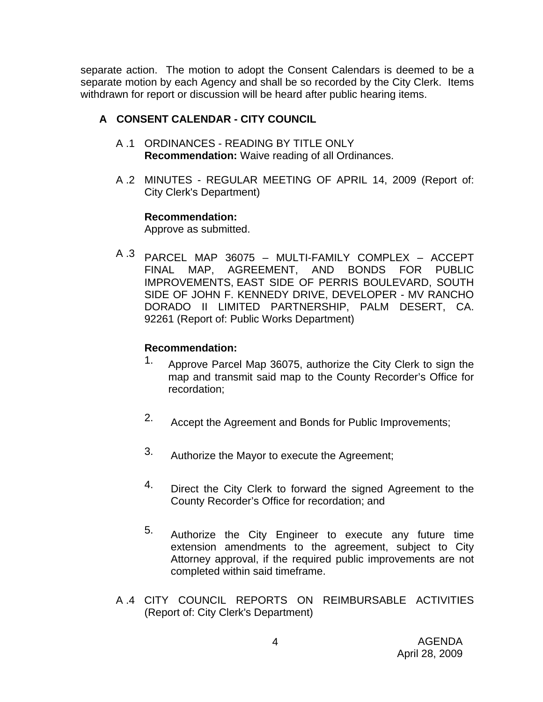separate action. The motion to adopt the Consent Calendars is deemed to be a separate motion by each Agency and shall be so recorded by the City Clerk. Items withdrawn for report or discussion will be heard after public hearing items.

# **A CONSENT CALENDAR - CITY COUNCIL**

- A .1 ORDINANCES READING BY TITLE ONLY **Recommendation:** Waive reading of all Ordinances.
- A .2 MINUTES REGULAR MEETING OF APRIL 14, 2009 (Report of: City Clerk's Department)

## **Recommendation:**

Approve as submitted.

A .3 PARCEL MAP 36075 – MULTI-FAMILY COMPLEX – ACCEPT FINAL MAP, AGREEMENT, AND BONDS FOR PUBLIC IMPROVEMENTS, EAST SIDE OF PERRIS BOULEVARD, SOUTH SIDE OF JOHN F. KENNEDY DRIVE, DEVELOPER - MV RANCHO DORADO II LIMITED PARTNERSHIP, PALM DESERT, CA. 92261 (Report of: Public Works Department)

# **Recommendation:**

- 1. Approve Parcel Map 36075, authorize the City Clerk to sign the map and transmit said map to the County Recorder's Office for recordation;
- 2. Accept the Agreement and Bonds for Public Improvements;
- 3. Authorize the Mayor to execute the Agreement;
- 4. Direct the City Clerk to forward the signed Agreement to the County Recorder's Office for recordation; and
- 5. Authorize the City Engineer to execute any future time extension amendments to the agreement, subject to City Attorney approval, if the required public improvements are not completed within said timeframe.
- A .4 CITY COUNCIL REPORTS ON REIMBURSABLE ACTIVITIES (Report of: City Clerk's Department)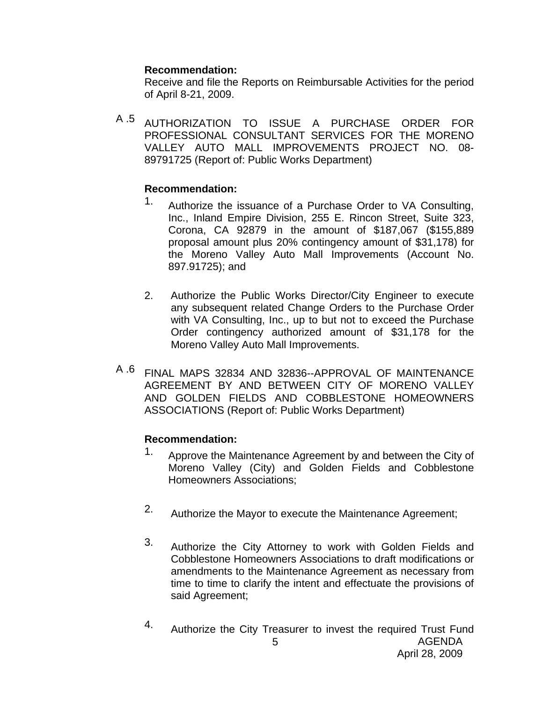#### **Recommendation:**

Receive and file the Reports on Reimbursable Activities for the period of April 8-21, 2009.

A .5 AUTHORIZATION TO ISSUE A PURCHASE ORDER FOR PROFESSIONAL CONSULTANT SERVICES FOR THE MORENO VALLEY AUTO MALL IMPROVEMENTS PROJECT NO. 08- 89791725 (Report of: Public Works Department)

## **Recommendation:**

- 1. Authorize the issuance of a Purchase Order to VA Consulting, Inc., Inland Empire Division, 255 E. Rincon Street, Suite 323, Corona, CA 92879 in the amount of \$187,067 (\$155,889 proposal amount plus 20% contingency amount of \$31,178) for the Moreno Valley Auto Mall Improvements (Account No. 897.91725); and
- 2. Authorize the Public Works Director/City Engineer to execute any subsequent related Change Orders to the Purchase Order with VA Consulting, Inc., up to but not to exceed the Purchase Order contingency authorized amount of \$31,178 for the Moreno Valley Auto Mall Improvements.
- A .6 FINAL MAPS 32834 AND 32836--APPROVAL OF MAINTENANCE AGREEMENT BY AND BETWEEN CITY OF MORENO VALLEY AND GOLDEN FIELDS AND COBBLESTONE HOMEOWNERS ASSOCIATIONS (Report of: Public Works Department)

## **Recommendation:**

- 1. Approve the Maintenance Agreement by and between the City of Moreno Valley (City) and Golden Fields and Cobblestone Homeowners Associations;
- 2. Authorize the Mayor to execute the Maintenance Agreement;
- 3. Authorize the City Attorney to work with Golden Fields and Cobblestone Homeowners Associations to draft modifications or amendments to the Maintenance Agreement as necessary from time to time to clarify the intent and effectuate the provisions of said Agreement;
- AGENDA April 28, 2009 5 4. Authorize the City Treasurer to invest the required Trust Fund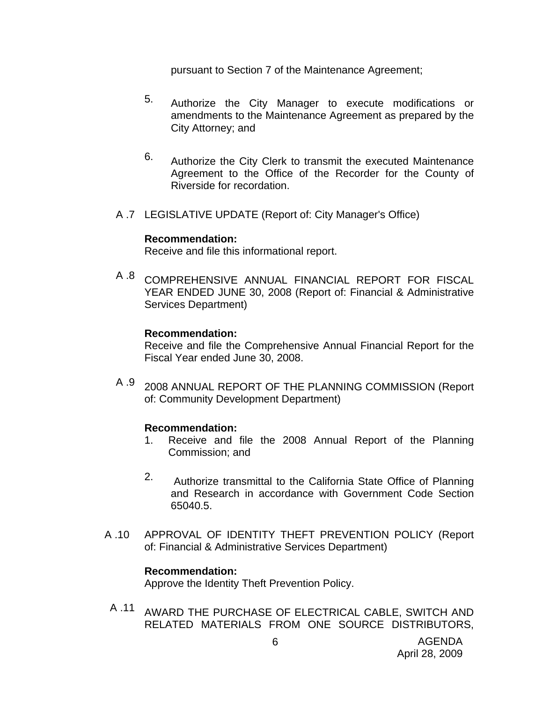pursuant to Section 7 of the Maintenance Agreement;

- 5. Authorize the City Manager to execute modifications or amendments to the Maintenance Agreement as prepared by the City Attorney; and
- 6. Authorize the City Clerk to transmit the executed Maintenance Agreement to the Office of the Recorder for the County of Riverside for recordation.
- A .7 LEGISLATIVE UPDATE (Report of: City Manager's Office)

#### **Recommendation:**

Receive and file this informational report.

A .8 COMPREHENSIVE ANNUAL FINANCIAL REPORT FOR FISCAL YEAR ENDED JUNE 30, 2008 (Report of: Financial & Administrative Services Department)

#### **Recommendation:**

Receive and file the Comprehensive Annual Financial Report for the Fiscal Year ended June 30, 2008.

A .9 2008 ANNUAL REPORT OF THE PLANNING COMMISSION (Report of: Community Development Department)

### **Recommendation:**

- 1. Receive and file the 2008 Annual Report of the Planning Commission; and
- 2. Authorize transmittal to the California State Office of Planning and Research in accordance with Government Code Section 65040.5.
- A .10 APPROVAL OF IDENTITY THEFT PREVENTION POLICY (Report of: Financial & Administrative Services Department)

### **Recommendation:**

Approve the Identity Theft Prevention Policy.

A .11 AWARD THE PURCHASE OF ELECTRICAL CABLE, SWITCH AND RELATED MATERIALS FROM ONE SOURCE DISTRIBUTORS,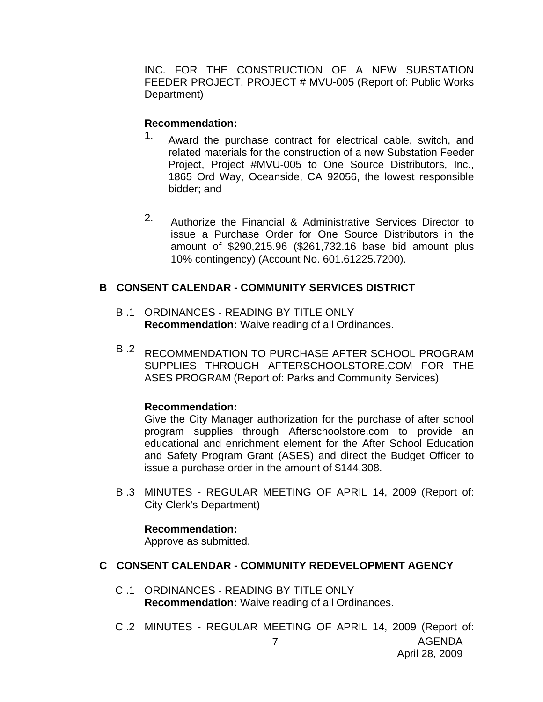INC. FOR THE CONSTRUCTION OF A NEW SUBSTATION FEEDER PROJECT, PROJECT # MVU-005 (Report of: Public Works Department)

### **Recommendation:**

- 1. Award the purchase contract for electrical cable, switch, and related materials for the construction of a new Substation Feeder Project, Project #MVU-005 to One Source Distributors, Inc., 1865 Ord Way, Oceanside, CA 92056, the lowest responsible bidder; and
- 2. Authorize the Financial & Administrative Services Director to issue a Purchase Order for One Source Distributors in the amount of \$290,215.96 (\$261,732.16 base bid amount plus 10% contingency) (Account No. 601.61225.7200).

## **B CONSENT CALENDAR - COMMUNITY SERVICES DISTRICT**

- B .1 ORDINANCES READING BY TITLE ONLY **Recommendation:** Waive reading of all Ordinances.
- B <sup>2</sup> RECOMMENDATION TO PURCHASE AFTER SCHOOL PROGRAM SUPPLIES THROUGH AFTERSCHOOLSTORE.COM FOR THE ASES PROGRAM (Report of: Parks and Community Services)

### **Recommendation:**

Give the City Manager authorization for the purchase of after school program supplies through Afterschoolstore.com to provide an educational and enrichment element for the After School Education and Safety Program Grant (ASES) and direct the Budget Officer to issue a purchase order in the amount of \$144,308.

B .3 MINUTES - REGULAR MEETING OF APRIL 14, 2009 (Report of: City Clerk's Department)

### **Recommendation:**

Approve as submitted.

### **C CONSENT CALENDAR - COMMUNITY REDEVELOPMENT AGENCY**

- C .1 ORDINANCES READING BY TITLE ONLY **Recommendation:** Waive reading of all Ordinances.
- AGENDA 7 C .2 MINUTES - REGULAR MEETING OF APRIL 14, 2009 (Report of: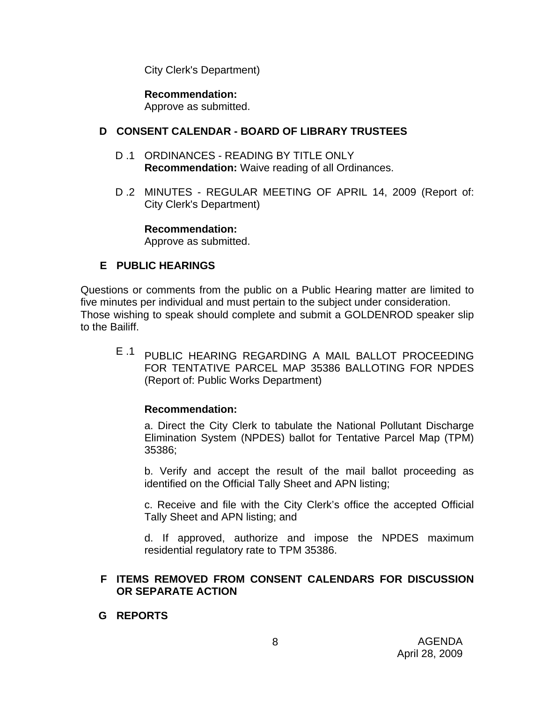City Clerk's Department)

**Recommendation:**  Approve as submitted.

#### **D CONSENT CALENDAR - BOARD OF LIBRARY TRUSTEES**

- D .1 ORDINANCES READING BY TITLE ONLY **Recommendation:** Waive reading of all Ordinances.
- D .2 MINUTES REGULAR MEETING OF APRIL 14, 2009 (Report of: City Clerk's Department)

**Recommendation:** 

Approve as submitted.

## **E PUBLIC HEARINGS**

Questions or comments from the public on a Public Hearing matter are limited to five minutes per individual and must pertain to the subject under consideration. Those wishing to speak should complete and submit a GOLDENROD speaker slip to the Bailiff.

E .1 PUBLIC HEARING REGARDING A MAIL BALLOT PROCEEDING FOR TENTATIVE PARCEL MAP 35386 BALLOTING FOR NPDES (Report of: Public Works Department)

### **Recommendation:**

a. Direct the City Clerk to tabulate the National Pollutant Discharge Elimination System (NPDES) ballot for Tentative Parcel Map (TPM) 35386;

b. Verify and accept the result of the mail ballot proceeding as identified on the Official Tally Sheet and APN listing;

c. Receive and file with the City Clerk's office the accepted Official Tally Sheet and APN listing; and

d. If approved, authorize and impose the NPDES maximum residential regulatory rate to TPM 35386.

### **F ITEMS REMOVED FROM CONSENT CALENDARS FOR DISCUSSION OR SEPARATE ACTION**

#### **G REPORTS**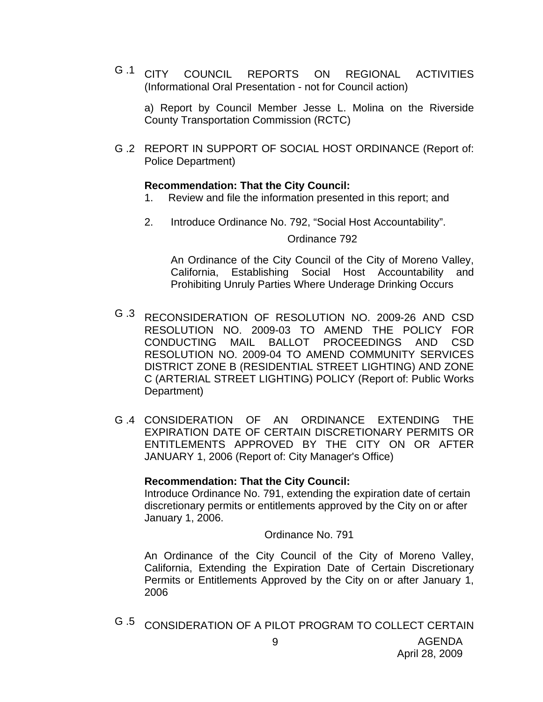G .1 CITY COUNCIL REPORTS ON REGIONAL ACTIVITIES (Informational Oral Presentation - not for Council action)

a) Report by Council Member Jesse L. Molina on the Riverside County Transportation Commission (RCTC)

G .2 REPORT IN SUPPORT OF SOCIAL HOST ORDINANCE (Report of: Police Department)

#### **Recommendation: That the City Council:**

- 1. Review and file the information presented in this report; and
- 2. Introduce Ordinance No. 792, "Social Host Accountability".

#### Ordinance 792

An Ordinance of the City Council of the City of Moreno Valley, California, Establishing Social Host Accountability and Prohibiting Unruly Parties Where Underage Drinking Occurs

- G .3 RECONSIDERATION OF RESOLUTION NO. 2009-26 AND CSD RESOLUTION NO. 2009-03 TO AMEND THE POLICY FOR CONDUCTING MAIL BALLOT PROCEEDINGS AND CSD RESOLUTION NO. 2009-04 TO AMEND COMMUNITY SERVICES DISTRICT ZONE B (RESIDENTIAL STREET LIGHTING) AND ZONE C (ARTERIAL STREET LIGHTING) POLICY (Report of: Public Works Department)
- G .4 CONSIDERATION OF AN ORDINANCE EXTENDING THE EXPIRATION DATE OF CERTAIN DISCRETIONARY PERMITS OR ENTITLEMENTS APPROVED BY THE CITY ON OR AFTER JANUARY 1, 2006 (Report of: City Manager's Office)

### **Recommendation: That the City Council:**

Introduce Ordinance No. 791, extending the expiration date of certain discretionary permits or entitlements approved by the City on or after January 1, 2006.

Ordinance No. 791

An Ordinance of the City Council of the City of Moreno Valley, California, Extending the Expiration Date of Certain Discretionary Permits or Entitlements Approved by the City on or after January 1, 2006

G .5 CONSIDERATION OF A PILOT PROGRAM TO COLLECT CERTAIN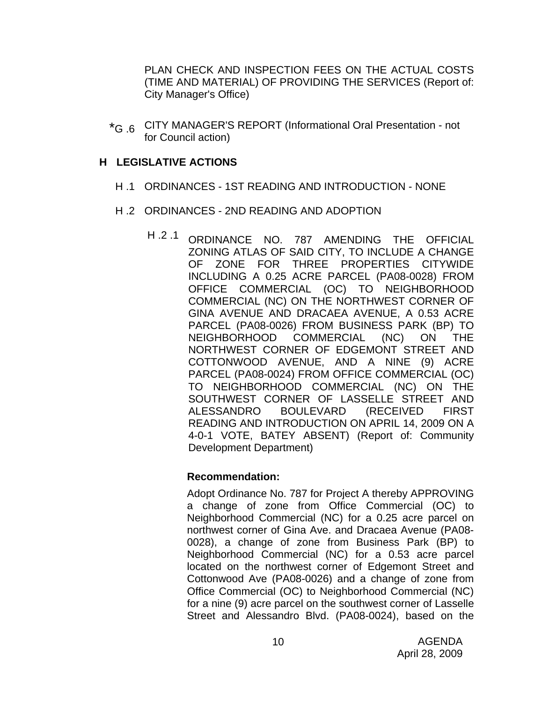PLAN CHECK AND INSPECTION FEES ON THE ACTUAL COSTS (TIME AND MATERIAL) OF PROVIDING THE SERVICES (Report of: City Manager's Office)

\*G .6 CITY MANAGER'S REPORT (Informational Oral Presentation - not for Council action)

### **H LEGISLATIVE ACTIONS**

- H .1 ORDINANCES 1ST READING AND INTRODUCTION NONE
- H .2 ORDINANCES 2ND READING AND ADOPTION
	- H .2 .1 ORDINANCE NO. 787 AMENDING THE OFFICIAL ZONING ATLAS OF SAID CITY, TO INCLUDE A CHANGE OF ZONE FOR THREE PROPERTIES CITYWIDE INCLUDING A 0.25 ACRE PARCEL (PA08-0028) FROM OFFICE COMMERCIAL (OC) TO NEIGHBORHOOD COMMERCIAL (NC) ON THE NORTHWEST CORNER OF GINA AVENUE AND DRACAEA AVENUE, A 0.53 ACRE PARCEL (PA08-0026) FROM BUSINESS PARK (BP) TO NEIGHBORHOOD COMMERCIAL (NC) ON THE NORTHWEST CORNER OF EDGEMONT STREET AND COTTONWOOD AVENUE, AND A NINE (9) ACRE PARCEL (PA08-0024) FROM OFFICE COMMERCIAL (OC) TO NEIGHBORHOOD COMMERCIAL (NC) ON THE SOUTHWEST CORNER OF LASSELLE STREET AND ALESSANDRO BOULEVARD (RECEIVED FIRST READING AND INTRODUCTION ON APRIL 14, 2009 ON A 4-0-1 VOTE, BATEY ABSENT) (Report of: Community Development Department)

### **Recommendation:**

Adopt Ordinance No. 787 for Project A thereby APPROVING a change of zone from Office Commercial (OC) to Neighborhood Commercial (NC) for a 0.25 acre parcel on northwest corner of Gina Ave. and Dracaea Avenue (PA08- 0028), a change of zone from Business Park (BP) to Neighborhood Commercial (NC) for a 0.53 acre parcel located on the northwest corner of Edgemont Street and Cottonwood Ave (PA08-0026) and a change of zone from Office Commercial (OC) to Neighborhood Commercial (NC) for a nine (9) acre parcel on the southwest corner of Lasselle Street and Alessandro Blvd. (PA08-0024), based on the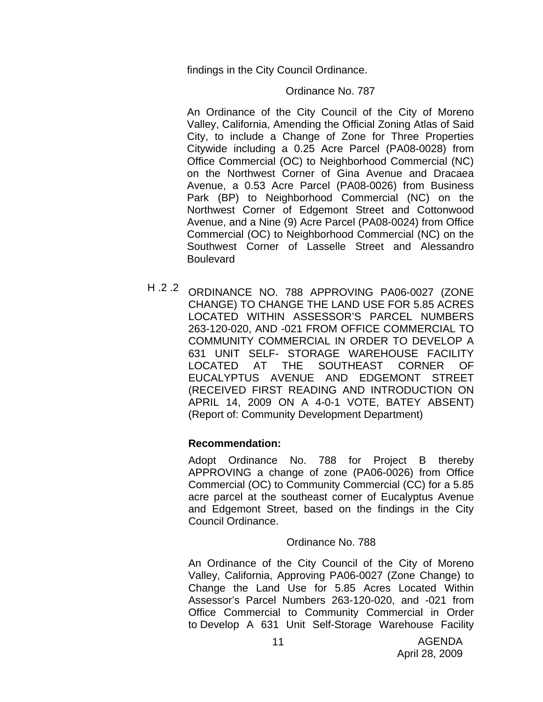findings in the City Council Ordinance.

#### Ordinance No. 787

An Ordinance of the City Council of the City of Moreno Valley, California, Amending the Official Zoning Atlas of Said City, to include a Change of Zone for Three Properties Citywide including a 0.25 Acre Parcel (PA08-0028) from Office Commercial (OC) to Neighborhood Commercial (NC) on the Northwest Corner of Gina Avenue and Dracaea Avenue, a 0.53 Acre Parcel (PA08-0026) from Business Park (BP) to Neighborhood Commercial (NC) on the Northwest Corner of Edgemont Street and Cottonwood Avenue, and a Nine (9) Acre Parcel (PA08-0024) from Office Commercial (OC) to Neighborhood Commercial (NC) on the Southwest Corner of Lasselle Street and Alessandro **Boulevard** 

H .2 .2 ORDINANCE NO. 788 APPROVING PA06-0027 (ZONE CHANGE) TO CHANGE THE LAND USE FOR 5.85 ACRES LOCATED WITHIN ASSESSOR'S PARCEL NUMBERS 263-120-020, AND -021 FROM OFFICE COMMERCIAL TO COMMUNITY COMMERCIAL IN ORDER TO DEVELOP A 631 UNIT SELF- STORAGE WAREHOUSE FACILITY LOCATED AT THE SOUTHEAST CORNER OF EUCALYPTUS AVENUE AND EDGEMONT STREET (RECEIVED FIRST READING AND INTRODUCTION ON APRIL 14, 2009 ON A 4-0-1 VOTE, BATEY ABSENT) (Report of: Community Development Department)

### **Recommendation:**

Adopt Ordinance No. 788 for Project B thereby APPROVING a change of zone (PA06-0026) from Office Commercial (OC) to Community Commercial (CC) for a 5.85 acre parcel at the southeast corner of Eucalyptus Avenue and Edgemont Street, based on the findings in the City Council Ordinance.

### Ordinance No. 788

An Ordinance of the City Council of the City of Moreno Valley, California, Approving PA06-0027 (Zone Change) to Change the Land Use for 5.85 Acres Located Within Assessor's Parcel Numbers 263-120-020, and -021 from Office Commercial to Community Commercial in Order to Develop A 631 Unit Self-Storage Warehouse Facility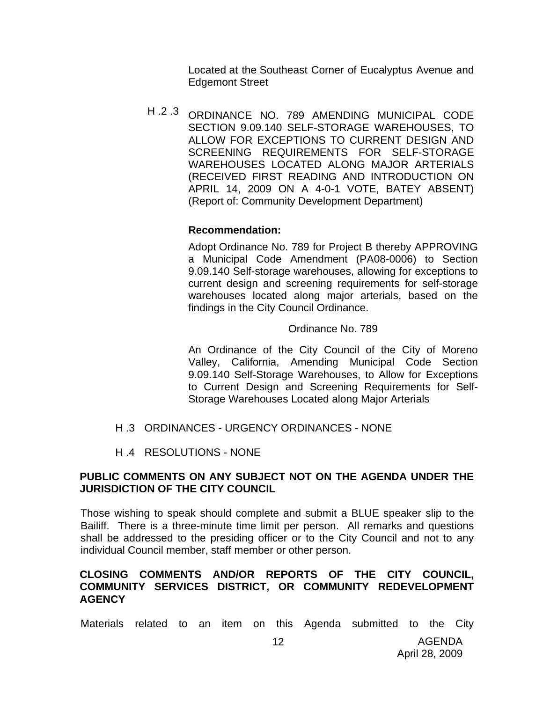Located at the Southeast Corner of Eucalyptus Avenue and Edgemont Street

H .2 .3 ORDINANCE NO. 789 AMENDING MUNICIPAL CODE SECTION 9.09.140 SELF-STORAGE WAREHOUSES, TO ALLOW FOR EXCEPTIONS TO CURRENT DESIGN AND SCREENING REQUIREMENTS FOR SELF-STORAGE WAREHOUSES LOCATED ALONG MAJOR ARTERIALS (RECEIVED FIRST READING AND INTRODUCTION ON APRIL 14, 2009 ON A 4-0-1 VOTE, BATEY ABSENT) (Report of: Community Development Department)

## **Recommendation:**

Adopt Ordinance No. 789 for Project B thereby APPROVING a Municipal Code Amendment (PA08-0006) to Section 9.09.140 Self-storage warehouses, allowing for exceptions to current design and screening requirements for self-storage warehouses located along major arterials, based on the findings in the City Council Ordinance.

#### Ordinance No. 789

An Ordinance of the City Council of the City of Moreno Valley, California, Amending Municipal Code Section 9.09.140 Self-Storage Warehouses, to Allow for Exceptions to Current Design and Screening Requirements for Self-Storage Warehouses Located along Major Arterials

- H .3 ORDINANCES URGENCY ORDINANCES NONE
- H .4 RESOLUTIONS NONE

### **PUBLIC COMMENTS ON ANY SUBJECT NOT ON THE AGENDA UNDER THE JURISDICTION OF THE CITY COUNCIL**

Those wishing to speak should complete and submit a BLUE speaker slip to the Bailiff. There is a three-minute time limit per person. All remarks and questions shall be addressed to the presiding officer or to the City Council and not to any individual Council member, staff member or other person.

### **CLOSING COMMENTS AND/OR REPORTS OF THE CITY COUNCIL, COMMUNITY SERVICES DISTRICT, OR COMMUNITY REDEVELOPMENT AGENCY**

Materials related to an item on this Agenda submitted to the City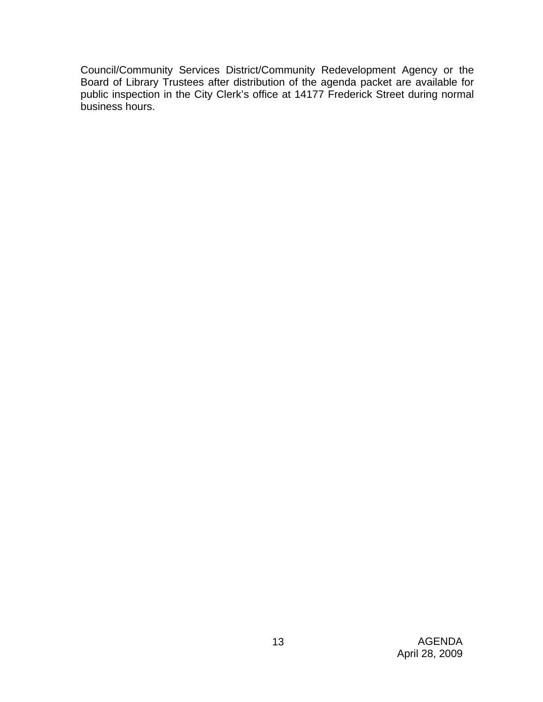Council/Community Services District/Community Redevelopment Agency or the Board of Library Trustees after distribution of the agenda packet are available for public inspection in the City Clerk's office at 14177 Frederick Street during normal business hours.